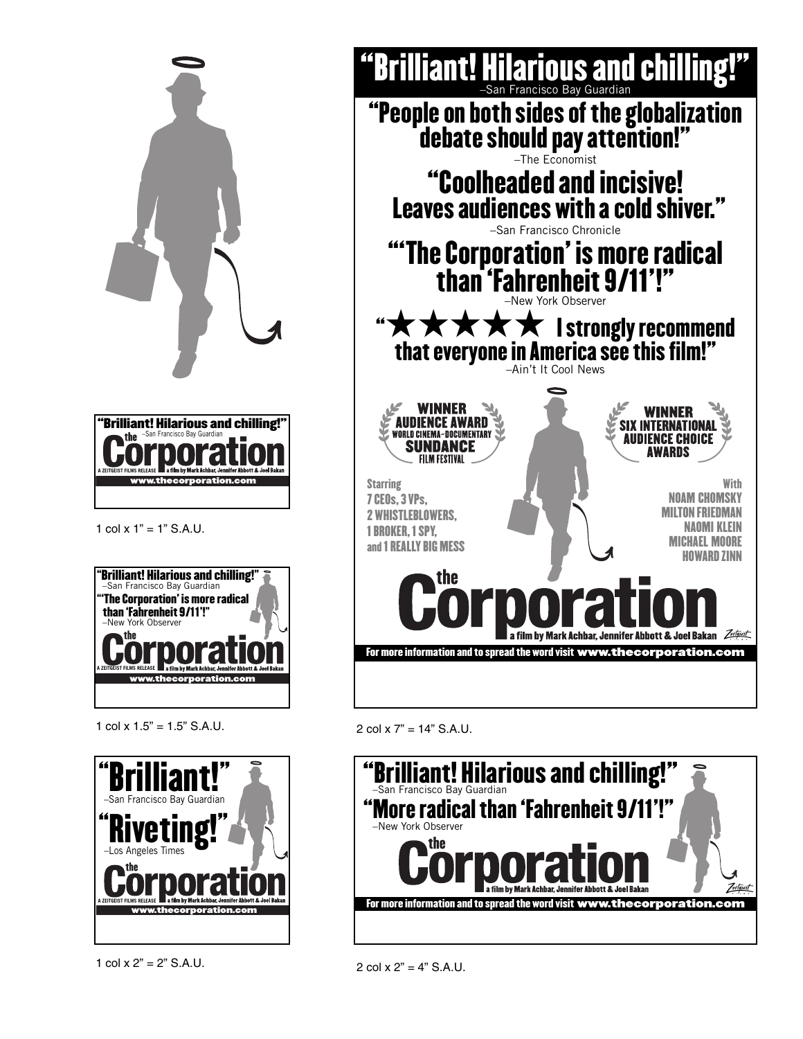



**www.thecorporation.com**

1 col  $x$  1" = 1" S.A.U.



1 col  $x$  1.5" = 1.5" S.A.U.





## 2 col x 7" = 14" S.A.U.



2 col  $x 2" = 4"$  S.A.U.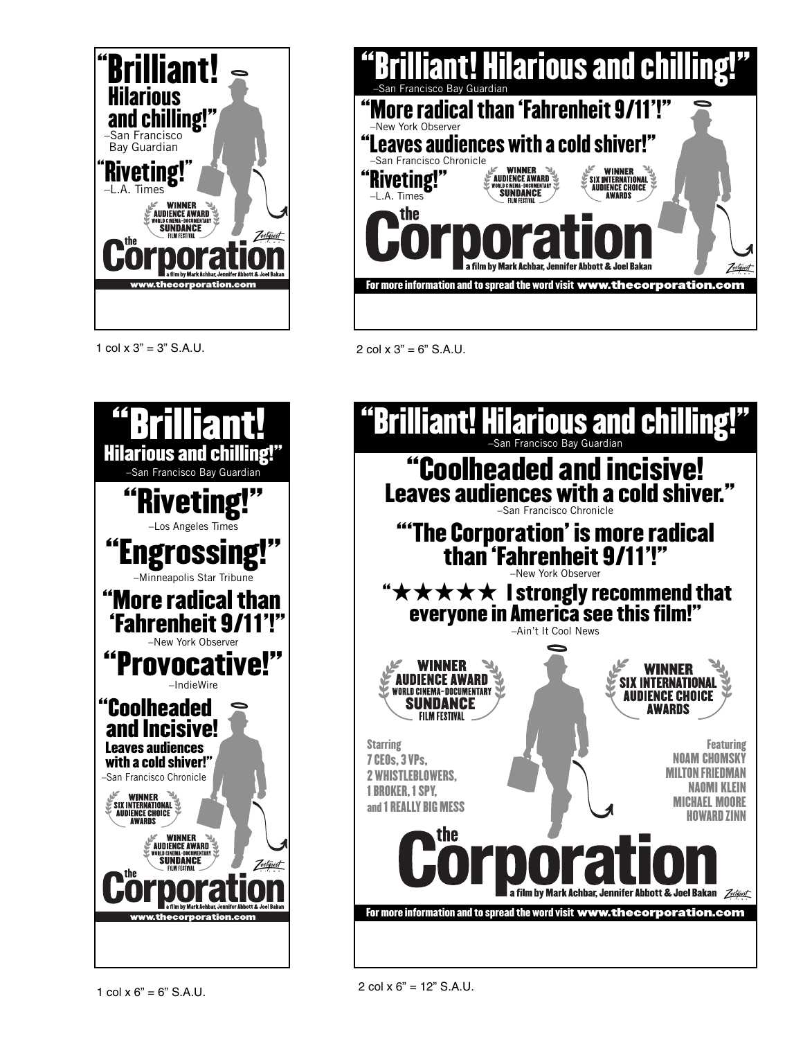

1 col  $x 3" = 3"$  S.A.U. 2 col  $x 3" = 6"$  S.A.U.